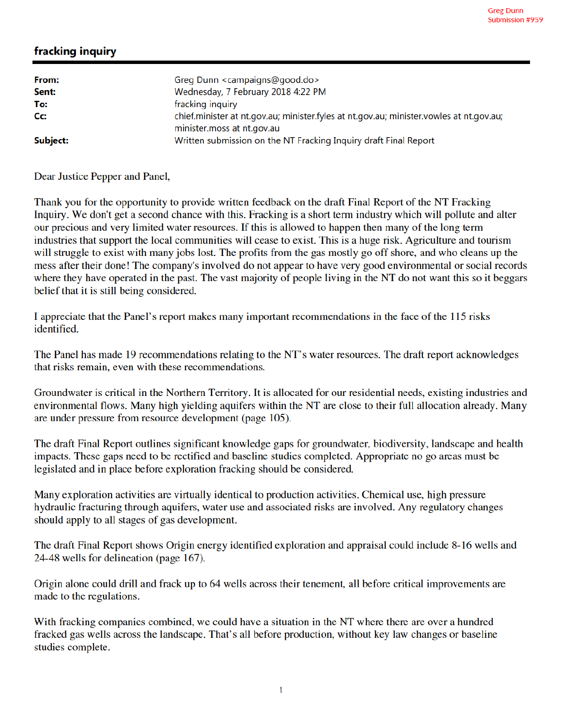## fracking inquiry

| From:    | Greg Dunn <campaigns@good.do></campaigns@good.do>                                              |
|----------|------------------------------------------------------------------------------------------------|
| Sent:    | Wednesday, 7 February 2018 4:22 PM                                                             |
| To:      | fracking inquiry                                                                               |
| Cc:      | chief.minister at nt.gov.au; minister.fyles at nt.gov.au; minister.vowles at nt.gov.au;        |
| Subject: | minister.moss at nt.gov.au<br>Written submission on the NT Fracking Inquiry draft Final Report |

Dear Justice Pepper and Panel,

Thank you for the opportunity to provide written feedback on the draft Final Report of the NT Fracking Inquiry. We don't get a second chance with this. Fracking is a short term industry which will pollute and alter our precious and very limited water resources. If this is allowed to happen then many of the long term industries that support the local communities will cease to exist. This is a huge risk. Agriculture and tourism will struggle to exist with many jobs lost. The profits from the gas mostly go off shore, and who cleans up the mess after their done! The company's involved do not appear to have very good environmental or social records where they have operated in the past. The vast majority of people living in the NT do not want this so it beggars belief that it is still being considered.

I appreciate that the Panel's report makes many important recommendations in the face of the 115 risks identified.

The Panel has made 19 recommendations relating to the NT's water resources. The draft report acknowledges that risks remain, even with these recommendations.

Groundwater is critical in the Northern Territory. It is allocated for our residential needs, existing industries and environmental flows. Many high yielding aquifers within the NT are close to their full allocation already. Many are under pressure from resource development (page 105).

The draft Final Report outlines significant knowledge gaps for groundwater, biodiversity, landscape and health impacts. These gaps need to be rectified and baseline studies completed. Appropriate no go areas must be legislated and in place before exploration fracking should be considered.

Many exploration activities are virtually identical to production activities. Chemical use, high pressure hydraulic fracturing through aquifers, water use and associated risks are involved. Any regulatory changes should apply to all stages of gas development.

The draft Final Report shows Origin energy identified exploration and appraisal could include 8-16 wells and 24-48 wells for delineation (page 167).

Origin alone could drill and frack up to 64 wells across their tenement, all before critical improvements are made to the regulations.

With fracking companies combined, we could have a situation in the NT where there are over a hundred fracked gas wells across the landscape. That's all before production, without key law changes or baseline studies complete.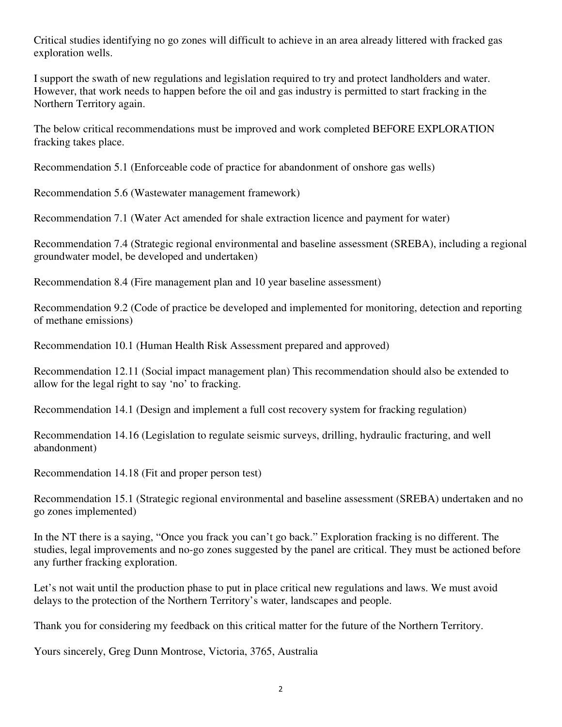Critical studies identifying no go zones will difficult to achieve in an area already littered with fracked gas exploration wells.

I support the swath of new regulations and legislation required to try and protect landholders and water. However, that work needs to happen before the oil and gas industry is permitted to start fracking in the Northern Territory again.

The below critical recommendations must be improved and work completed BEFORE EXPLORATION fracking takes place.

Recommendation 5.1 (Enforceable code of practice for abandonment of onshore gas wells)

Recommendation 5.6 (Wastewater management framework)

Recommendation 7.1 (Water Act amended for shale extraction licence and payment for water)

Recommendation 7.4 (Strategic regional environmental and baseline assessment (SREBA), including a regional groundwater model, be developed and undertaken)

Recommendation 8.4 (Fire management plan and 10 year baseline assessment)

Recommendation 9.2 (Code of practice be developed and implemented for monitoring, detection and reporting of methane emissions)

Recommendation 10.1 (Human Health Risk Assessment prepared and approved)

Recommendation 12.11 (Social impact management plan) This recommendation should also be extended to allow for the legal right to say 'no' to fracking.

Recommendation 14.1 (Design and implement a full cost recovery system for fracking regulation)

Recommendation 14.16 (Legislation to regulate seismic surveys, drilling, hydraulic fracturing, and well abandonment)

Recommendation 14.18 (Fit and proper person test)

Recommendation 15.1 (Strategic regional environmental and baseline assessment (SREBA) undertaken and no go zones implemented)

In the NT there is a saying, "Once you frack you can't go back." Exploration fracking is no different. The studies, legal improvements and no-go zones suggested by the panel are critical. They must be actioned before any further fracking exploration.

Let's not wait until the production phase to put in place critical new regulations and laws. We must avoid delays to the protection of the Northern Territory's water, landscapes and people.

Thank you for considering my feedback on this critical matter for the future of the Northern Territory.

Yours sincerely, Greg Dunn Montrose, Victoria, 3765, Australia